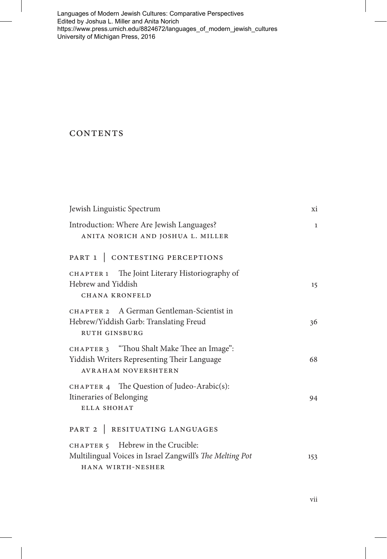Languages of Modern Jewish Cultures: Comparative Perspectives Edited by Joshua L. Miller and Anita Norich [https://www.press.umich.edu/8824672/languages\\_of\\_modern\\_jewish\\_cultures](https://www.press.umich.edu/8824672/languages_of_modern_jewish_cultures)  University of Michigan Press, 2016

## **CONTENTS**

| Jewish Linguistic Spectrum                                                                                              | xi           |
|-------------------------------------------------------------------------------------------------------------------------|--------------|
| Introduction: Where Are Jewish Languages?<br>ANITA NORICH AND JOSHUA L. MILLER                                          | $\mathbf{1}$ |
| PART 1   CONTESTING PERCEPTIONS                                                                                         |              |
| CHAPTER 1 The Joint Literary Historiography of<br>Hebrew and Yiddish<br><b>CHANA KRONFELD</b>                           | 15           |
| CHAPTER 2 A German Gentleman-Scientist in<br>Hebrew/Yiddish Garb: Translating Freud<br><b>RUTH GINSBURG</b>             | 36           |
| CHAPTER 3 "Thou Shalt Make Thee an Image":<br>Yiddish Writers Representing Their Language<br><b>AVRAHAM NOVERSHTERN</b> | 68           |
| CHAPTER 4 The Question of Judeo-Arabic(s):<br>Itineraries of Belonging<br>ELLA SHOHAT                                   | 94           |
| PART 2   RESITUATING LANGUAGES                                                                                          |              |
| CHAPTER 5 Hebrew in the Crucible:<br>Multilingual Voices in Israel Zangwill's The Melting Pot<br>HANA WIRTH-NESHER      | 153          |

vii

 $\overline{1}$ 

Revised Pages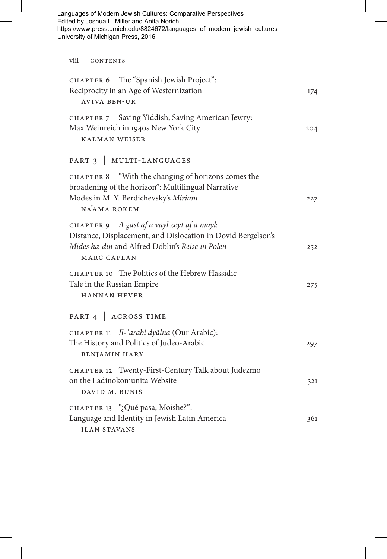| Languages of Modern Jewish Cultures: Comparative Perspectives<br>Edited by Joshua L. Miller and Anita Norich<br>https://www.press.umich.edu/8824672/languages_of_modern_jewish_cultures |     |
|-----------------------------------------------------------------------------------------------------------------------------------------------------------------------------------------|-----|
| University of Michigan Press, 2016                                                                                                                                                      |     |
| viii<br>CONTENTS                                                                                                                                                                        |     |
| The "Spanish Jewish Project":<br>CHAPTER 6<br>Reciprocity in an Age of Westernization<br><b>AVIVA BEN-UR</b>                                                                            | 174 |
| CHAPTER 7 Saving Yiddish, Saving American Jewry:<br>Max Weinreich in 1940s New York City<br><b>KALMAN WEISER</b>                                                                        | 204 |
| PART 3   MULTI-LANGUAGES                                                                                                                                                                |     |
| "With the changing of horizons comes the<br><b>CHAPTER 8</b><br>broadening of the horizon": Multilingual Narrative<br>Modes in M. Y. Berdichevsky's Miriam<br>NAAMA ROKEM               | 227 |
| CHAPTER 9 A gast af a vayl zeyt af a mayl:<br>Distance, Displacement, and Dislocation in Dovid Bergelson's<br>Mides ha-din and Alfred Döblin's Reise in Polen<br>MARC CAPLAN            | 252 |
| CHAPTER 10 The Politics of the Hebrew Hassidic<br>Tale in the Russian Empire<br><b>HANNAN HEVER</b>                                                                                     | 275 |
| PART 4   ACROSS TIME                                                                                                                                                                    |     |
| CHAPTER 11 Il-'arabi dyālna (Our Arabic):<br>The History and Politics of Judeo-Arabic<br><b>BENJAMIN HARY</b>                                                                           | 297 |
| CHAPTER 12 Twenty-First-Century Talk about Judezmo<br>on the Ladinokomunita Website<br>DAVID M. BUNIS                                                                                   | 321 |
| CHAPTER 13 "¿Qué pasa, Moishe?":<br>Language and Identity in Jewish Latin America<br><b>ILAN STAVANS</b>                                                                                | 361 |

 $\overline{\phantom{a}}$ 

 $\overline{\phantom{a}}$